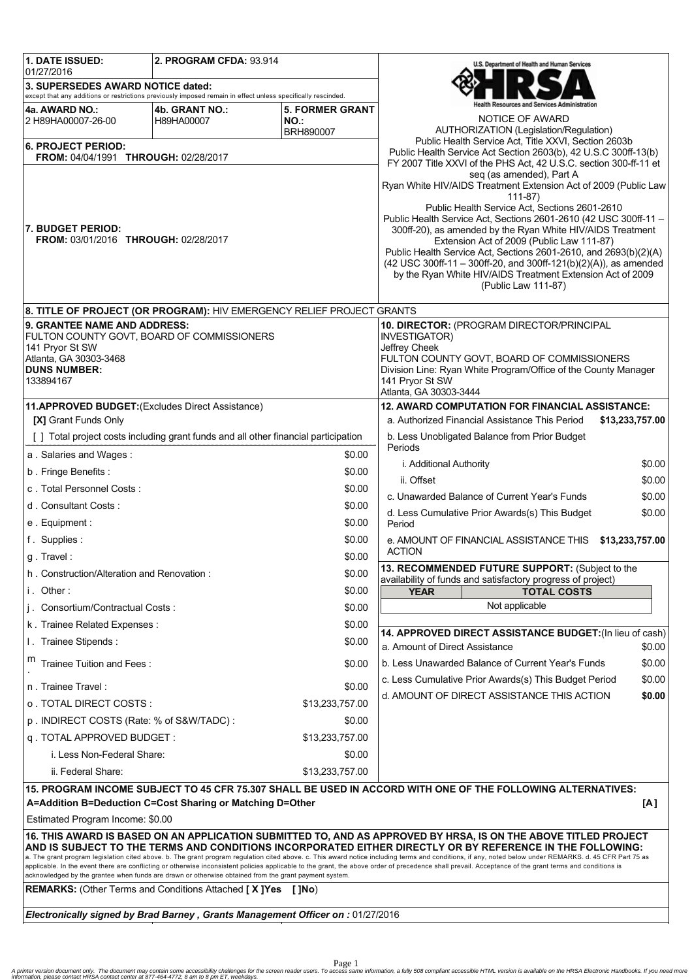| 1. DATE ISSUED:<br>01/27/2016                                                                                                                                                                                                                                                                                                                                                                                                                                                                                                                                                                                                                                                                                                                                                                                                        | <b>2. PROGRAM CFDA: 93.914</b>                                                      |                                                                                                                                                                                                                                                                                                                                                                                                                                                                                                                                                                                                                                                                                                                  | U.S. Department of Health and Human Services                                                                |  |  |  |  |  |
|--------------------------------------------------------------------------------------------------------------------------------------------------------------------------------------------------------------------------------------------------------------------------------------------------------------------------------------------------------------------------------------------------------------------------------------------------------------------------------------------------------------------------------------------------------------------------------------------------------------------------------------------------------------------------------------------------------------------------------------------------------------------------------------------------------------------------------------|-------------------------------------------------------------------------------------|------------------------------------------------------------------------------------------------------------------------------------------------------------------------------------------------------------------------------------------------------------------------------------------------------------------------------------------------------------------------------------------------------------------------------------------------------------------------------------------------------------------------------------------------------------------------------------------------------------------------------------------------------------------------------------------------------------------|-------------------------------------------------------------------------------------------------------------|--|--|--|--|--|
| 3. SUPERSEDES AWARD NOTICE dated:                                                                                                                                                                                                                                                                                                                                                                                                                                                                                                                                                                                                                                                                                                                                                                                                    |                                                                                     |                                                                                                                                                                                                                                                                                                                                                                                                                                                                                                                                                                                                                                                                                                                  |                                                                                                             |  |  |  |  |  |
| except that any additions or restrictions previously imposed remain in effect unless specifically rescinded.                                                                                                                                                                                                                                                                                                                                                                                                                                                                                                                                                                                                                                                                                                                         |                                                                                     |                                                                                                                                                                                                                                                                                                                                                                                                                                                                                                                                                                                                                                                                                                                  | ealth Resources and Services Administration                                                                 |  |  |  |  |  |
| 4a. AWARD NO.:<br>2 H89HA00007-26-00                                                                                                                                                                                                                                                                                                                                                                                                                                                                                                                                                                                                                                                                                                                                                                                                 | 4b. GRANT NO.:<br>H89HA00007                                                        | <b>5. FORMER GRANT</b><br><b>NO.:</b>                                                                                                                                                                                                                                                                                                                                                                                                                                                                                                                                                                                                                                                                            | NOTICE OF AWARD                                                                                             |  |  |  |  |  |
|                                                                                                                                                                                                                                                                                                                                                                                                                                                                                                                                                                                                                                                                                                                                                                                                                                      |                                                                                     | BRH890007                                                                                                                                                                                                                                                                                                                                                                                                                                                                                                                                                                                                                                                                                                        | AUTHORIZATION (Legislation/Regulation)<br>Public Health Service Act, Title XXVI, Section 2603b              |  |  |  |  |  |
| 6. PROJECT PERIOD:<br>FROM: 04/04/1991 THROUGH: 02/28/2017                                                                                                                                                                                                                                                                                                                                                                                                                                                                                                                                                                                                                                                                                                                                                                           |                                                                                     | Public Health Service Act Section 2603(b), 42 U.S.C 300ff-13(b)<br>FY 2007 Title XXVI of the PHS Act, 42 U.S.C. section 300-ff-11 et<br>seg (as amended), Part A<br>Ryan White HIV/AIDS Treatment Extension Act of 2009 (Public Law<br>$111 - 87$<br>Public Health Service Act, Sections 2601-2610<br>Public Health Service Act, Sections 2601-2610 (42 USC 300ff-11 -<br>300ff-20), as amended by the Ryan White HIV/AIDS Treatment<br>Extension Act of 2009 (Public Law 111-87)<br>Public Health Service Act, Sections 2601-2610, and 2693(b)(2)(A)<br>$(42$ USC 300ff-11 - 300ff-20, and 300ff-121(b)(2)(A)), as amended<br>by the Ryan White HIV/AIDS Treatment Extension Act of 2009<br>(Public Law 111-87) |                                                                                                             |  |  |  |  |  |
| 7. BUDGET PERIOD:<br><b>FROM: 03/01/2016 THROUGH: 02/28/2017</b>                                                                                                                                                                                                                                                                                                                                                                                                                                                                                                                                                                                                                                                                                                                                                                     |                                                                                     |                                                                                                                                                                                                                                                                                                                                                                                                                                                                                                                                                                                                                                                                                                                  |                                                                                                             |  |  |  |  |  |
| 8. TITLE OF PROJECT (OR PROGRAM): HIV EMERGENCY RELIEF PROJECT GRANTS                                                                                                                                                                                                                                                                                                                                                                                                                                                                                                                                                                                                                                                                                                                                                                |                                                                                     |                                                                                                                                                                                                                                                                                                                                                                                                                                                                                                                                                                                                                                                                                                                  |                                                                                                             |  |  |  |  |  |
| 9. GRANTEE NAME AND ADDRESS:<br>FULTON COUNTY GOVT, BOARD OF COMMISSIONERS<br>141 Pryor St SW<br>Atlanta, GA 30303-3468<br><b>DUNS NUMBER:</b><br>133894167                                                                                                                                                                                                                                                                                                                                                                                                                                                                                                                                                                                                                                                                          |                                                                                     | 10. DIRECTOR: (PROGRAM DIRECTOR/PRINCIPAL<br><b>INVESTIGATOR)</b><br>Jeffrey Cheek<br>FULTON COUNTY GOVT, BOARD OF COMMISSIONERS<br>Division Line: Ryan White Program/Office of the County Manager<br>141 Pryor St SW<br>Atlanta, GA 30303-3444                                                                                                                                                                                                                                                                                                                                                                                                                                                                  |                                                                                                             |  |  |  |  |  |
| 11.APPROVED BUDGET: (Excludes Direct Assistance)                                                                                                                                                                                                                                                                                                                                                                                                                                                                                                                                                                                                                                                                                                                                                                                     |                                                                                     |                                                                                                                                                                                                                                                                                                                                                                                                                                                                                                                                                                                                                                                                                                                  | <b>12. AWARD COMPUTATION FOR FINANCIAL ASSISTANCE:</b>                                                      |  |  |  |  |  |
| [X] Grant Funds Only                                                                                                                                                                                                                                                                                                                                                                                                                                                                                                                                                                                                                                                                                                                                                                                                                 |                                                                                     |                                                                                                                                                                                                                                                                                                                                                                                                                                                                                                                                                                                                                                                                                                                  | a. Authorized Financial Assistance This Period<br>\$13,233,757.00                                           |  |  |  |  |  |
|                                                                                                                                                                                                                                                                                                                                                                                                                                                                                                                                                                                                                                                                                                                                                                                                                                      | [ ] Total project costs including grant funds and all other financial participation | b. Less Unobligated Balance from Prior Budget<br>Periods                                                                                                                                                                                                                                                                                                                                                                                                                                                                                                                                                                                                                                                         |                                                                                                             |  |  |  |  |  |
| a. Salaries and Wages:                                                                                                                                                                                                                                                                                                                                                                                                                                                                                                                                                                                                                                                                                                                                                                                                               |                                                                                     | \$0.00                                                                                                                                                                                                                                                                                                                                                                                                                                                                                                                                                                                                                                                                                                           | i. Additional Authority<br>\$0.00                                                                           |  |  |  |  |  |
| b. Fringe Benefits:                                                                                                                                                                                                                                                                                                                                                                                                                                                                                                                                                                                                                                                                                                                                                                                                                  |                                                                                     | \$0.00                                                                                                                                                                                                                                                                                                                                                                                                                                                                                                                                                                                                                                                                                                           | \$0.00<br>ii. Offset                                                                                        |  |  |  |  |  |
| c. Total Personnel Costs:                                                                                                                                                                                                                                                                                                                                                                                                                                                                                                                                                                                                                                                                                                                                                                                                            |                                                                                     | \$0.00                                                                                                                                                                                                                                                                                                                                                                                                                                                                                                                                                                                                                                                                                                           | c. Unawarded Balance of Current Year's Funds<br>\$0.00                                                      |  |  |  |  |  |
| d. Consultant Costs:                                                                                                                                                                                                                                                                                                                                                                                                                                                                                                                                                                                                                                                                                                                                                                                                                 |                                                                                     | \$0.00                                                                                                                                                                                                                                                                                                                                                                                                                                                                                                                                                                                                                                                                                                           | d. Less Cumulative Prior Awards(s) This Budget<br>\$0.00                                                    |  |  |  |  |  |
| e. Equipment:                                                                                                                                                                                                                                                                                                                                                                                                                                                                                                                                                                                                                                                                                                                                                                                                                        |                                                                                     | \$0.00                                                                                                                                                                                                                                                                                                                                                                                                                                                                                                                                                                                                                                                                                                           | Period                                                                                                      |  |  |  |  |  |
| f. Supplies:                                                                                                                                                                                                                                                                                                                                                                                                                                                                                                                                                                                                                                                                                                                                                                                                                         |                                                                                     | \$0.00                                                                                                                                                                                                                                                                                                                                                                                                                                                                                                                                                                                                                                                                                                           | e. AMOUNT OF FINANCIAL ASSISTANCE THIS<br>\$13,233,757.00<br><b>ACTION</b>                                  |  |  |  |  |  |
| g. Travel:                                                                                                                                                                                                                                                                                                                                                                                                                                                                                                                                                                                                                                                                                                                                                                                                                           |                                                                                     | \$0.00                                                                                                                                                                                                                                                                                                                                                                                                                                                                                                                                                                                                                                                                                                           | 13. RECOMMENDED FUTURE SUPPORT: (Subject to the                                                             |  |  |  |  |  |
| i. Other:                                                                                                                                                                                                                                                                                                                                                                                                                                                                                                                                                                                                                                                                                                                                                                                                                            | h. Construction/Alteration and Renovation:<br>\$0.00<br>\$0.00                      |                                                                                                                                                                                                                                                                                                                                                                                                                                                                                                                                                                                                                                                                                                                  | availability of funds and satisfactory progress of project)<br><b>YEAR</b><br><b>TOTAL COSTS</b>            |  |  |  |  |  |
| j. Consortium/Contractual Costs:                                                                                                                                                                                                                                                                                                                                                                                                                                                                                                                                                                                                                                                                                                                                                                                                     |                                                                                     | \$0.00                                                                                                                                                                                                                                                                                                                                                                                                                                                                                                                                                                                                                                                                                                           | Not applicable                                                                                              |  |  |  |  |  |
| k. Trainee Related Expenses:                                                                                                                                                                                                                                                                                                                                                                                                                                                                                                                                                                                                                                                                                                                                                                                                         |                                                                                     | \$0.00                                                                                                                                                                                                                                                                                                                                                                                                                                                                                                                                                                                                                                                                                                           | 14. APPROVED DIRECT ASSISTANCE BUDGET: (In lieu of cash)                                                    |  |  |  |  |  |
| I. Trainee Stipends:                                                                                                                                                                                                                                                                                                                                                                                                                                                                                                                                                                                                                                                                                                                                                                                                                 |                                                                                     | \$0.00                                                                                                                                                                                                                                                                                                                                                                                                                                                                                                                                                                                                                                                                                                           | a. Amount of Direct Assistance<br>\$0.00                                                                    |  |  |  |  |  |
| m Trainee Tuition and Fees:                                                                                                                                                                                                                                                                                                                                                                                                                                                                                                                                                                                                                                                                                                                                                                                                          |                                                                                     | \$0.00                                                                                                                                                                                                                                                                                                                                                                                                                                                                                                                                                                                                                                                                                                           | b. Less Unawarded Balance of Current Year's Funds<br>\$0.00                                                 |  |  |  |  |  |
| n. Trainee Travel:                                                                                                                                                                                                                                                                                                                                                                                                                                                                                                                                                                                                                                                                                                                                                                                                                   |                                                                                     | \$0.00                                                                                                                                                                                                                                                                                                                                                                                                                                                                                                                                                                                                                                                                                                           | c. Less Cumulative Prior Awards(s) This Budget Period<br>\$0.00                                             |  |  |  |  |  |
| o TOTAL DIRECT COSTS:                                                                                                                                                                                                                                                                                                                                                                                                                                                                                                                                                                                                                                                                                                                                                                                                                |                                                                                     | \$13,233,757.00                                                                                                                                                                                                                                                                                                                                                                                                                                                                                                                                                                                                                                                                                                  | d. AMOUNT OF DIRECT ASSISTANCE THIS ACTION<br>\$0.00                                                        |  |  |  |  |  |
| p. INDIRECT COSTS (Rate: % of S&W/TADC):                                                                                                                                                                                                                                                                                                                                                                                                                                                                                                                                                                                                                                                                                                                                                                                             |                                                                                     | \$0.00                                                                                                                                                                                                                                                                                                                                                                                                                                                                                                                                                                                                                                                                                                           |                                                                                                             |  |  |  |  |  |
| q. TOTAL APPROVED BUDGET:                                                                                                                                                                                                                                                                                                                                                                                                                                                                                                                                                                                                                                                                                                                                                                                                            |                                                                                     | \$13,233,757.00                                                                                                                                                                                                                                                                                                                                                                                                                                                                                                                                                                                                                                                                                                  |                                                                                                             |  |  |  |  |  |
| i. Less Non-Federal Share:                                                                                                                                                                                                                                                                                                                                                                                                                                                                                                                                                                                                                                                                                                                                                                                                           |                                                                                     | \$0.00                                                                                                                                                                                                                                                                                                                                                                                                                                                                                                                                                                                                                                                                                                           |                                                                                                             |  |  |  |  |  |
| ii. Federal Share:                                                                                                                                                                                                                                                                                                                                                                                                                                                                                                                                                                                                                                                                                                                                                                                                                   |                                                                                     | \$13,233,757.00                                                                                                                                                                                                                                                                                                                                                                                                                                                                                                                                                                                                                                                                                                  |                                                                                                             |  |  |  |  |  |
|                                                                                                                                                                                                                                                                                                                                                                                                                                                                                                                                                                                                                                                                                                                                                                                                                                      |                                                                                     |                                                                                                                                                                                                                                                                                                                                                                                                                                                                                                                                                                                                                                                                                                                  | 15. PROGRAM INCOME SUBJECT TO 45 CFR 75.307 SHALL BE USED IN ACCORD WITH ONE OF THE FOLLOWING ALTERNATIVES: |  |  |  |  |  |
|                                                                                                                                                                                                                                                                                                                                                                                                                                                                                                                                                                                                                                                                                                                                                                                                                                      | A=Addition B=Deduction C=Cost Sharing or Matching D=Other<br>[A]                    |                                                                                                                                                                                                                                                                                                                                                                                                                                                                                                                                                                                                                                                                                                                  |                                                                                                             |  |  |  |  |  |
| Estimated Program Income: \$0.00                                                                                                                                                                                                                                                                                                                                                                                                                                                                                                                                                                                                                                                                                                                                                                                                     |                                                                                     |                                                                                                                                                                                                                                                                                                                                                                                                                                                                                                                                                                                                                                                                                                                  |                                                                                                             |  |  |  |  |  |
| 16. THIS AWARD IS BASED ON AN APPLICATION SUBMITTED TO, AND AS APPROVED BY HRSA, IS ON THE ABOVE TITLED PROJECT<br>AND IS SUBJECT TO THE TERMS AND CONDITIONS INCORPORATED EITHER DIRECTLY OR BY REFERENCE IN THE FOLLOWING:<br>a. The grant program legislation cited above. b. The grant program regulation cited above. c. This award notice including terms and conditions, if any, noted below under REMARKS. d. 45 CFR Part 75 as<br>applicable. In the event there are conflicting or otherwise inconsistent policies applicable to the grant, the above order of precedence shall prevail. Acceptance of the grant terms and conditions is<br>acknowledged by the grantee when funds are drawn or otherwise obtained from the grant payment system.<br><b>REMARKS:</b> (Other Terms and Conditions Attached [X]Yes<br>[ ]No) |                                                                                     |                                                                                                                                                                                                                                                                                                                                                                                                                                                                                                                                                                                                                                                                                                                  |                                                                                                             |  |  |  |  |  |
| Electronically signed by Brad Barney, Grants Management Officer on: 01/27/2016                                                                                                                                                                                                                                                                                                                                                                                                                                                                                                                                                                                                                                                                                                                                                       |                                                                                     |                                                                                                                                                                                                                                                                                                                                                                                                                                                                                                                                                                                                                                                                                                                  |                                                                                                             |  |  |  |  |  |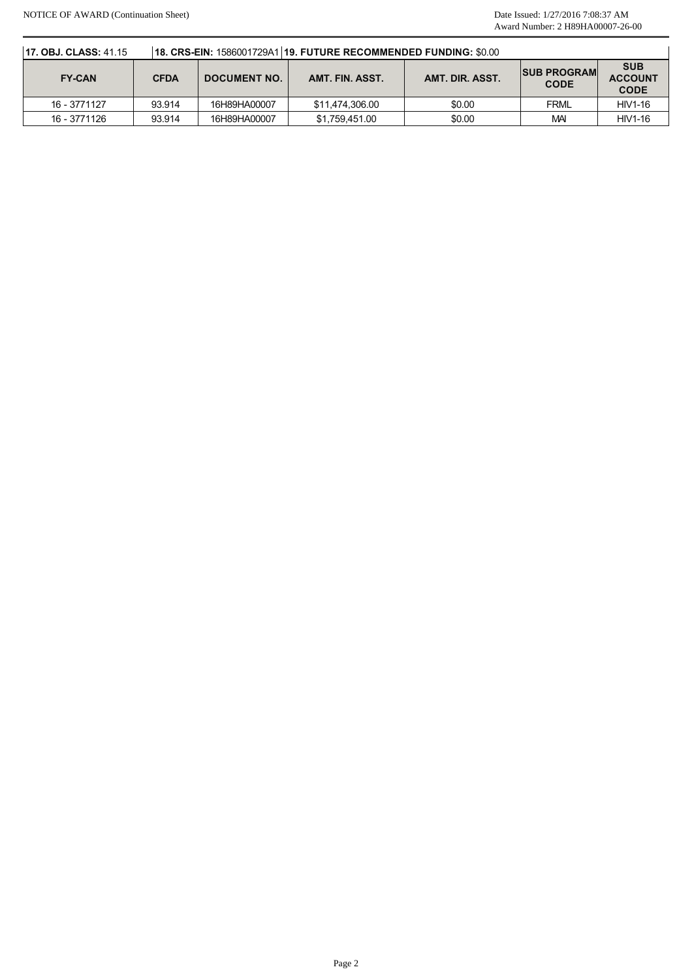| <b>17. OBJ. CLASS: 41.15</b> |             | 18. CRS-EIN: 1586001729A1 19. FUTURE RECOMMENDED FUNDING: \$0.00 |                 |                 |                                     |                                             |  |
|------------------------------|-------------|------------------------------------------------------------------|-----------------|-----------------|-------------------------------------|---------------------------------------------|--|
| <b>FY-CAN</b>                | <b>CFDA</b> | <b>DOCUMENT NO.</b>                                              | AMT. FIN. ASST. | AMT. DIR. ASST. | <b>ISUB PROGRAMI</b><br><b>CODE</b> | <b>SUB</b><br><b>ACCOUNT</b><br><b>CODE</b> |  |
| 16 - 3771127                 | 93.914      | 16H89HA00007                                                     | \$11,474,306.00 | \$0.00          | <b>FRML</b>                         | <b>HIV1-16</b>                              |  |
| 16 - 3771126                 | 93.914      | 16H89HA00007                                                     | \$1.759.451.00  | \$0.00          | МAІ                                 | <b>HIV1-16</b>                              |  |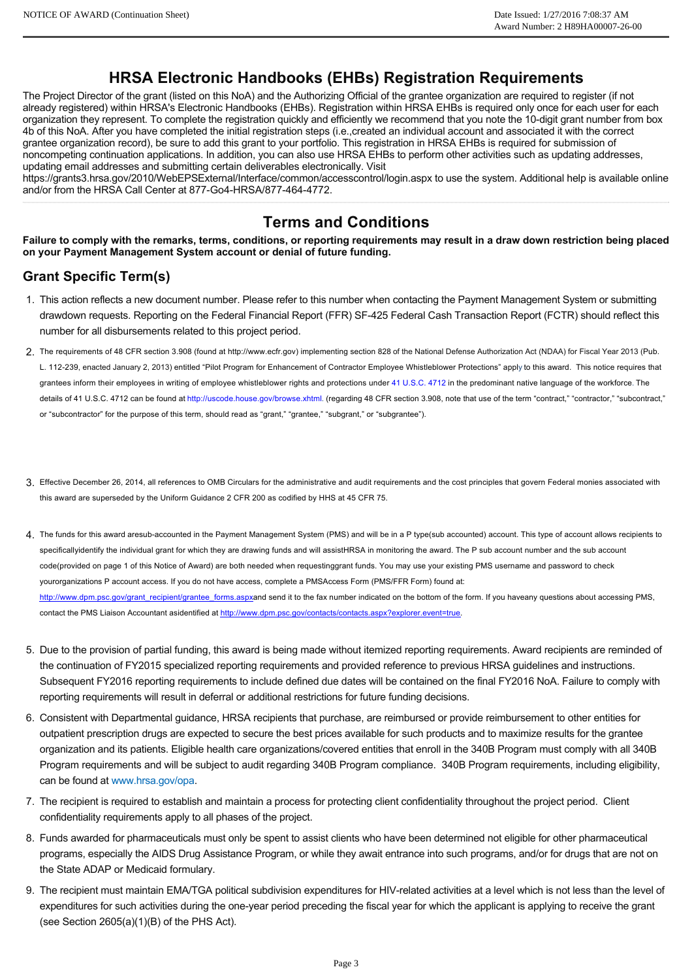# **HRSA Electronic Handbooks (EHBs) Registration Requirements**

The Project Director of the grant (listed on this NoA) and the Authorizing Official of the grantee organization are required to register (if not already registered) within HRSA's Electronic Handbooks (EHBs). Registration within HRSA EHBs is required only once for each user for each organization they represent. To complete the registration quickly and efficiently we recommend that you note the 10-digit grant number from box 4b of this NoA. After you have completed the initial registration steps (i.e.,created an individual account and associated it with the correct grantee organization record), be sure to add this grant to your portfolio. This registration in HRSA EHBs is required for submission of noncompeting continuation applications. In addition, you can also use HRSA EHBs to perform other activities such as updating addresses, updating email addresses and submitting certain deliverables electronically. Visit

https://grants3.hrsa.gov/2010/WebEPSExternal/Interface/common/accesscontrol/login.aspx to use the system. Additional help is available online and/or from the HRSA Call Center at 877-Go4-HRSA/877-464-4772.

# **Terms and Conditions**

**Failure to comply with the remarks, terms, conditions, or reporting requirements may result in a draw down restriction being placed on your Payment Management System account or denial of future funding.**

## **Grant Specific Term(s)**

- 1. This action reflects a new document number. Please refer to this number when contacting the Payment Management System or submitting drawdown requests. Reporting on the Federal Financial Report (FFR) SF-425 Federal Cash Transaction Report (FCTR) should reflect this number for all disbursements related to this project period.
- 2. The requirements of 48 CFR section 3.908 (found at http://www.ecfr.gov) implementing section 828 of the National Defense Authorization Act (NDAA) for Fiscal Year 2013 (Pub. L. 112239, enacted January 2, 2013) entitled "Pilot Program for Enhancement of Contractor Employee Whistleblower Protections" apply to this award. This notice requires that grantees inform their employees in writing of employee whistleblower rights and protections under 41 U.S.C. 4712 in the predominant native language of the workforce. The details of 41 U.S.C. 4712 can be found at http://uscode.house.gov/browse.xhtml. (regarding 48 CFR section 3.908, note that use of the term "contract," "contractor," "subcontract," or "subcontractor" for the purpose of this term, should read as "grant," "grantee," "subgrant," or "subgrantee").
- 3. Effective December 26, 2014, all references to OMB Circulars for the administrative and audit requirements and the cost principles that govern Federal monies associated with this award are superseded by the Uniform Guidance 2 CFR 200 as codified by HHS at 45 CFR 75.
- 4. The funds for this award aresub-accounted in the Payment Management System (PMS) and will be in a P type(sub accounted) account. This type of account allows recipients to specificallyidentify the individual grant for which they are drawing funds and will assistHRSA in monitoring the award. The P sub account number and the sub account code(provided on page 1 of this Notice of Award) are both needed when requestinggrant funds. You may use your existing PMS username and password to check yourorganizations P account access. If you do not have access, complete a PMSAccess Form (PMS/FFR Form) found at: http://www.dpm.psc.gov/grant\_recipient/grantee\_forms.aspxand send it to the fax number indicated on the bottom of the form. If you haveany questions about accessing PMS, contact the PMS Liaison Accountant asidentified at http://www.dpm.psc.gov/contacts/contacts.aspx?explorer.event=true
- 5. Due to the provision of partial funding, this award is being made without itemized reporting requirements. Award recipients are reminded of the continuation of FY2015 specialized reporting requirements and provided reference to previous HRSA guidelines and instructions. Subsequent FY2016 reporting requirements to include defined due dates will be contained on the final FY2016 NoA. Failure to comply with reporting requirements will result in deferral or additional restrictions for future funding decisions.
- 6. Consistent with Departmental guidance, HRSA recipients that purchase, are reimbursed or provide reimbursement to other entities for outpatient prescription drugs are expected to secure the best prices available for such products and to maximize results for the grantee organization and its patients. Eligible health care organizations/covered entities that enroll in the 340B Program must comply with all 340B Program requirements and will be subject to audit regarding 340B Program compliance. 340B Program requirements, including eligibility, can be found at www.hrsa.gov/opa.
- 7. The recipient is required to establish and maintain a process for protecting client confidentiality throughout the project period. Client confidentiality requirements apply to all phases of the project.
- 8. Funds awarded for pharmaceuticals must only be spent to assist clients who have been determined not eligible for other pharmaceutical programs, especially the AIDS Drug Assistance Program, or while they await entrance into such programs, and/or for drugs that are not on the State ADAP or Medicaid formulary.
- 9. The recipient must maintain EMA/TGA political subdivision expenditures for HIV-related activities at a level which is not less than the level of expenditures for such activities during the one-year period preceding the fiscal year for which the applicant is applying to receive the grant (see Section 2605(a)(1)(B) of the PHS Act).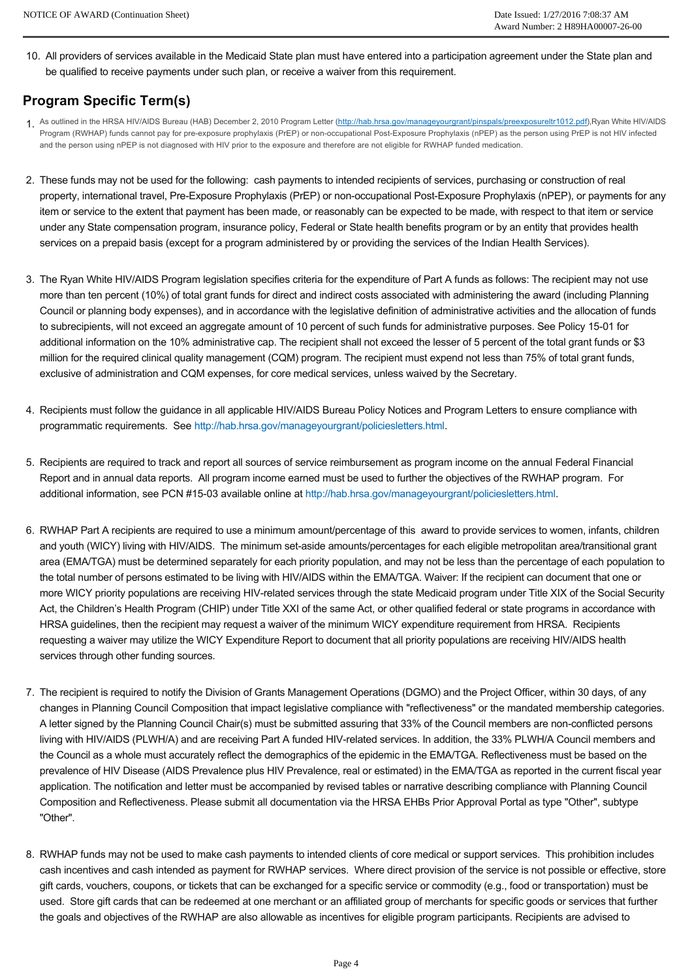10. All providers of services available in the Medicaid State plan must have entered into a participation agreement under the State plan and be qualified to receive payments under such plan, or receive a waiver from this requirement.

# **Program Specific Term(s)**

- 1. As outlined in the HRSA HIV/AIDS Bureau (HAB) December 2, 2010 Program Letter (http://hab.hrsa.gov/manageyourgrant/pinspals/preexposureltr1012.pdf),Ryan White HIV/AIDS Program (RWHAP) funds cannot pay for pre-exposure prophylaxis (PrEP) or non-occupational Post-Exposure Prophylaxis (nPEP) as the person using PrEP is not HIV infected and the person using nPEP is not diagnosed with HIV prior to the exposure and therefore are not eligible for RWHAP funded medication.
- 2. These funds may not be used for the following: cash payments to intended recipients of services, purchasing or construction of real property, international travel, Pre-Exposure Prophylaxis (PrEP) or non-occupational Post-Exposure Prophylaxis (nPEP), or payments for any item or service to the extent that payment has been made, or reasonably can be expected to be made, with respect to that item or service under any State compensation program, insurance policy, Federal or State health benefits program or by an entity that provides health services on a prepaid basis (except for a program administered by or providing the services of the Indian Health Services).
- 3. The Ryan White HIV/AIDS Program legislation specifies criteria for the expenditure of Part A funds as follows: The recipient may not use more than ten percent (10%) of total grant funds for direct and indirect costs associated with administering the award (including Planning Council or planning body expenses), and in accordance with the legislative definition of administrative activities and the allocation of funds to subrecipients, will not exceed an aggregate amount of 10 percent of such funds for administrative purposes. See Policy 15-01 for additional information on the 10% administrative cap. The recipient shall not exceed the lesser of 5 percent of the total grant funds or \$3 million for the required clinical quality management (CQM) program. The recipient must expend not less than 75% of total grant funds, exclusive of administration and CQM expenses, for core medical services, unless waived by the Secretary.
- 4. Recipients must follow the guidance in all applicable HIV/AIDS Bureau Policy Notices and Program Letters to ensure compliance with programmatic requirements. See http://hab.hrsa.gov/manageyourgrant/policiesletters.html.
- 5. Recipients are required to track and report all sources of service reimbursement as program income on the annual Federal Financial Report and in annual data reports. All program income earned must be used to further the objectives of the RWHAP program. For additional information, see PCN #15-03 available online at http://hab.hrsa.gov/manageyourgrant/policiesletters.html.
- 6. RWHAP Part A recipients are required to use a minimum amount/percentage of this award to provide services to women, infants, children and youth (WICY) living with HIV/AIDS. The minimum set-aside amounts/percentages for each eligible metropolitan area/transitional grant area (EMA/TGA) must be determined separately for each priority population, and may not be less than the percentage of each population to the total number of persons estimated to be living with HIV/AIDS within the EMA/TGA. Waiver: If the recipient can document that one or more WICY priority populations are receiving HIV-related services through the state Medicaid program under Title XIX of the Social Security Act, the Children's Health Program (CHIP) under Title XXI of the same Act, or other qualified federal or state programs in accordance with HRSA guidelines, then the recipient may request a waiver of the minimum WICY expenditure requirement from HRSA. Recipients requesting a waiver may utilize the WICY Expenditure Report to document that all priority populations are receiving HIV/AIDS health services through other funding sources.
- 7. The recipient is required to notify the Division of Grants Management Operations (DGMO) and the Project Officer, within 30 days, of any changes in Planning Council Composition that impact legislative compliance with "reflectiveness" or the mandated membership categories. A letter signed by the Planning Council Chair(s) must be submitted assuring that 33% of the Council members are nonconflicted persons living with HIV/AIDS (PLWH/A) and are receiving Part A funded HIV-related services. In addition, the 33% PLWH/A Council members and the Council as a whole must accurately reflect the demographics of the epidemic in the EMA/TGA. Reflectiveness must be based on the prevalence of HIV Disease (AIDS Prevalence plus HIV Prevalence, real or estimated) in the EMA/TGA as reported in the current fiscal year application. The notification and letter must be accompanied by revised tables or narrative describing compliance with Planning Council Composition and Reflectiveness. Please submit all documentation via the HRSA EHBs Prior Approval Portal as type "Other", subtype "Other".
- 8. RWHAP funds may not be used to make cash payments to intended clients of core medical or support services. This prohibition includes cash incentives and cash intended as payment for RWHAP services. Where direct provision of the service is not possible or effective, store gift cards, vouchers, coupons, or tickets that can be exchanged for a specific service or commodity (e.g., food or transportation) must be used. Store gift cards that can be redeemed at one merchant or an affiliated group of merchants for specific goods or services that further the goals and objectives of the RWHAP are also allowable as incentives for eligible program participants. Recipients are advised to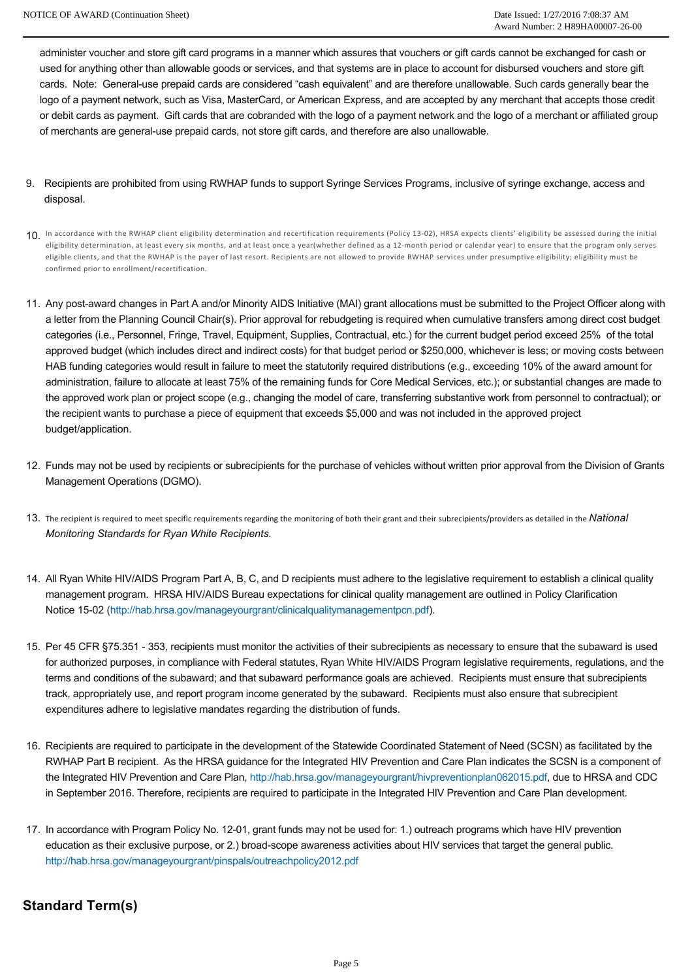administer voucher and store gift card programs in a manner which assures that vouchers or gift cards cannot be exchanged for cash or used for anything other than allowable goods or services, and that systems are in place to account for disbursed vouchers and store gift cards. Note: General-use prepaid cards are considered "cash equivalent" and are therefore unallowable. Such cards generally bear the logo of a payment network, such as Visa, MasterCard, or American Express, and are accepted by any merchant that accepts those credit or debit cards as payment. Gift cards that are cobranded with the logo of a payment network and the logo of a merchant or affiliated group of merchants are general-use prepaid cards, not store gift cards, and therefore are also unallowable.

- 9. Recipients are prohibited from using RWHAP funds to support Syringe Services Programs, inclusive of syringe exchange, access and disposal.
- 10. In accordance with the RWHAP client eligibility determination and recertification requirements (Policy 13‐02), HRSA expects clients' eligibility be assessed during the initial eligibility determination, at least every six months, and at least once a year(whether defined as a 12-month period or calendar year) to ensure that the program only serves eligible clients, and that the RWHAP is the payer of last resort. Recipients are not allowed to provide RWHAP services under presumptive eligibility; eligibility must be confirmed prior to enrollment/recertification.
- 11. Any post-award changes in Part A and/or Minority AIDS Initiative (MAI) grant allocations must be submitted to the Project Officer along with a letter from the Planning Council Chair(s). Prior approval for rebudgeting is required when cumulative transfers among direct cost budget categories (i.e., Personnel, Fringe, Travel, Equipment, Supplies, Contractual, etc.) for the current budget period exceed 25% of the total approved budget (which includes direct and indirect costs) for that budget period or \$250,000, whichever is less; or moving costs between HAB funding categories would result in failure to meet the statutorily required distributions (e.g., exceeding 10% of the award amount for administration, failure to allocate at least 75% of the remaining funds for Core Medical Services, etc.); or substantial changes are made to the approved work plan or project scope (e.g., changing the model of care, transferring substantive work from personnel to contractual); or the recipient wants to purchase a piece of equipment that exceeds \$5,000 and was not included in the approved project budget/application.
- 12. Funds may not be used by recipients or subrecipients for the purchase of vehicles without written prior approval from the Division of Grants Management Operations (DGMO).
- 13. The recipient is required to meet specific requirements regarding the monitoring of both their grant and their subrecipients/providers as detailed in the *National Monitoring Standards for Ryan White Recipients.*
- 14. All Ryan White HIV/AIDS Program Part A, B, C, and D recipients must adhere to the legislative requirement to establish a clinical quality management program. HRSA HIV/AIDS Bureau expectations for clinical quality management are outlined in Policy Clarification Notice 15-02 (http://hab.hrsa.gov/manageyourgrant/clinicalqualitymanagementpcn.pdf).
- 15. Per 45 CFR §75.351 353, recipients must monitor the activities of their subrecipients as necessary to ensure that the subaward is used for authorized purposes, in compliance with Federal statutes, Ryan White HIV/AIDS Program legislative requirements, regulations, and the terms and conditions of the subaward; and that subaward performance goals are achieved. Recipients must ensure that subrecipients track, appropriately use, and report program income generated by the subaward. Recipients must also ensure that subrecipient expenditures adhere to legislative mandates regarding the distribution of funds.
- 16. Recipients are required to participate in the development of the Statewide Coordinated Statement of Need (SCSN) as facilitated by the RWHAP Part B recipient. As the HRSA guidance for the Integrated HIV Prevention and Care Plan indicates the SCSN is a component of the Integrated HIV Prevention and Care Plan, http://hab.hrsa.gov/manageyourgrant/hivpreventionplan062015.pdf, due to HRSA and CDC in September 2016. Therefore, recipients are required to participate in the Integrated HIV Prevention and Care Plan development.
- 17. In accordance with Program Policy No. 1201, grant funds may not be used for: 1.) outreach programs which have HIV prevention education as their exclusive purpose, or 2.) broad-scope awareness activities about HIV services that target the general public. http://hab.hrsa.gov/manageyourgrant/pinspals/outreachpolicy2012.pdf

# **Standard Term(s)**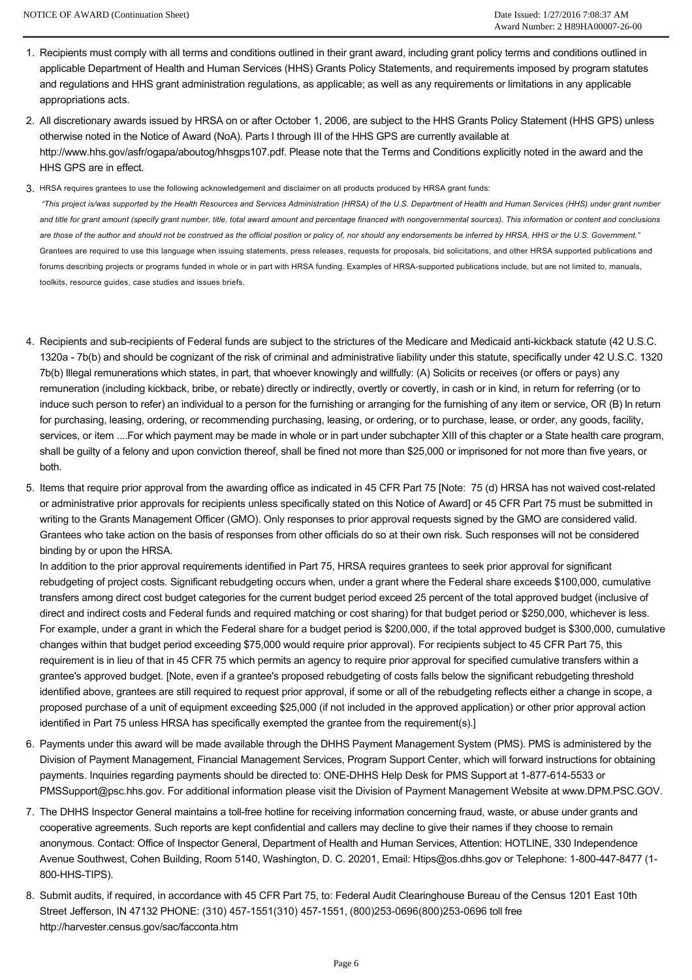- 1. Recipients must comply with all terms and conditions outlined in their grant award, including grant policy terms and conditions outlined in applicable Department of Health and Human Services (HHS) Grants Policy Statements, and requirements imposed by program statutes and regulations and HHS grant administration regulations, as applicable; as well as any requirements or limitations in any applicable appropriations acts.
- 2. All discretionary awards issued by HRSA on or after October 1, 2006, are subject to the HHS Grants Policy Statement (HHS GPS) unless otherwise noted in the Notice of Award (NoA). Parts I through III of the HHS GPS are currently available at http://www.hhs.gov/asfr/ogapa/aboutog/hhsgps107.pdf. Please note that the Terms and Conditions explicitly noted in the award and the HHS GPS are in effect.
- 3. HRSA requires grantees to use the following acknowledgement and disclaimer on all products produced by HRSA grant funds:

*"This project is/was supported by the Health Resources and Services Administration (HRSA) of the U.S. Department of Health and Human Services (HHS) under grant number and title for grant amount (specify grant number, title, total award amount and percentage financed with nongovernmental sources). This information or content and conclusions are those of the author and should not be construed as the official position or policy of, nor should any endorsements be inferred by HRSA, HHS or the U.S. Government."* Grantees are required to use this language when issuing statements, press releases, requests for proposals, bid solicitations, and other HRSA supported publications and forums describing projects or programs funded in whole or in part with HRSA funding. Examples of HRSA-supported publications include, but are not limited to, manuals, toolkits, resource guides, case studies and issues briefs.

- 4. Recipients and sub-recipients of Federal funds are subject to the strictures of the Medicare and Medicaid anti-kickback statute (42 U.S.C. 1320a 7b(b) and should be cognizant of the risk of criminal and administrative liability under this statute, specifically under 42 U.S.C. 1320 7b(b) Illegal remunerations which states, in part, that whoever knowingly and willfully: (A) Solicits or receives (or offers or pays) any remuneration (including kickback, bribe, or rebate) directly or indirectly, overtly or covertly, in cash or in kind, in return for referring (or to induce such person to refer) an individual to a person for the furnishing or arranging for the furnishing of any item or service, OR (B) In return for purchasing, leasing, ordering, or recommending purchasing, leasing, or ordering, or to purchase, lease, or order, any goods, facility, services, or item ....For which payment may be made in whole or in part under subchapter XIII of this chapter or a State health care program, shall be guilty of a felony and upon conviction thereof, shall be fined not more than \$25,000 or imprisoned for not more than five years, or both.
- 5. Items that require prior approval from the awarding office as indicated in 45 CFR Part 75 [Note: 75 (d) HRSA has not waived costrelated or administrative prior approvals for recipients unless specifically stated on this Notice of Award] or 45 CFR Part 75 must be submitted in writing to the Grants Management Officer (GMO). Only responses to prior approval requests signed by the GMO are considered valid. Grantees who take action on the basis of responses from other officials do so at their own risk. Such responses will not be considered binding by or upon the HRSA.

In addition to the prior approval requirements identified in Part 75, HRSA requires grantees to seek prior approval for significant rebudgeting of project costs. Significant rebudgeting occurs when, under a grant where the Federal share exceeds \$100,000, cumulative transfers among direct cost budget categories for the current budget period exceed 25 percent of the total approved budget (inclusive of direct and indirect costs and Federal funds and required matching or cost sharing) for that budget period or \$250,000, whichever is less. For example, under a grant in which the Federal share for a budget period is \$200,000, if the total approved budget is \$300,000, cumulative changes within that budget period exceeding \$75,000 would require prior approval). For recipients subject to 45 CFR Part 75, this requirement is in lieu of that in 45 CFR 75 which permits an agency to require prior approval for specified cumulative transfers within a grantee's approved budget. [Note, even if a grantee's proposed rebudgeting of costs falls below the significant rebudgeting threshold identified above, grantees are still required to request prior approval, if some or all of the rebudgeting reflects either a change in scope, a proposed purchase of a unit of equipment exceeding \$25,000 (if not included in the approved application) or other prior approval action identified in Part 75 unless HRSA has specifically exempted the grantee from the requirement(s).]

- 6. Payments under this award will be made available through the DHHS Payment Management System (PMS). PMS is administered by the Division of Payment Management, Financial Management Services, Program Support Center, which will forward instructions for obtaining payments. Inquiries regarding payments should be directed to: ONE-DHHS Help Desk for PMS Support at 1-877-614-5533 or PMSSupport@psc.hhs.gov. For additional information please visit the Division of Payment Management Website at www.DPM.PSC.GOV.
- 7. The DHHS Inspector General maintains a toll-free hotline for receiving information concerning fraud, waste, or abuse under grants and cooperative agreements. Such reports are kept confidential and callers may decline to give their names if they choose to remain anonymous. Contact: Office of Inspector General, Department of Health and Human Services, Attention: HOTLINE, 330 Independence Avenue Southwest, Cohen Building, Room 5140, Washington, D. C. 20201, Email: Htips@os.dhhs.gov or Telephone: 1-800-447-8477 (1-800-HHS-TIPS).
- 8. Submit audits, if required, in accordance with 45 CFR Part 75, to: Federal Audit Clearinghouse Bureau of the Census 1201 East 10th Street Jefferson, IN 47132 PHONE: (310) 457-1551(310) 457-1551, (800)253-0696(800)253-0696 toll free http://harvester.census.gov/sac/facconta.htm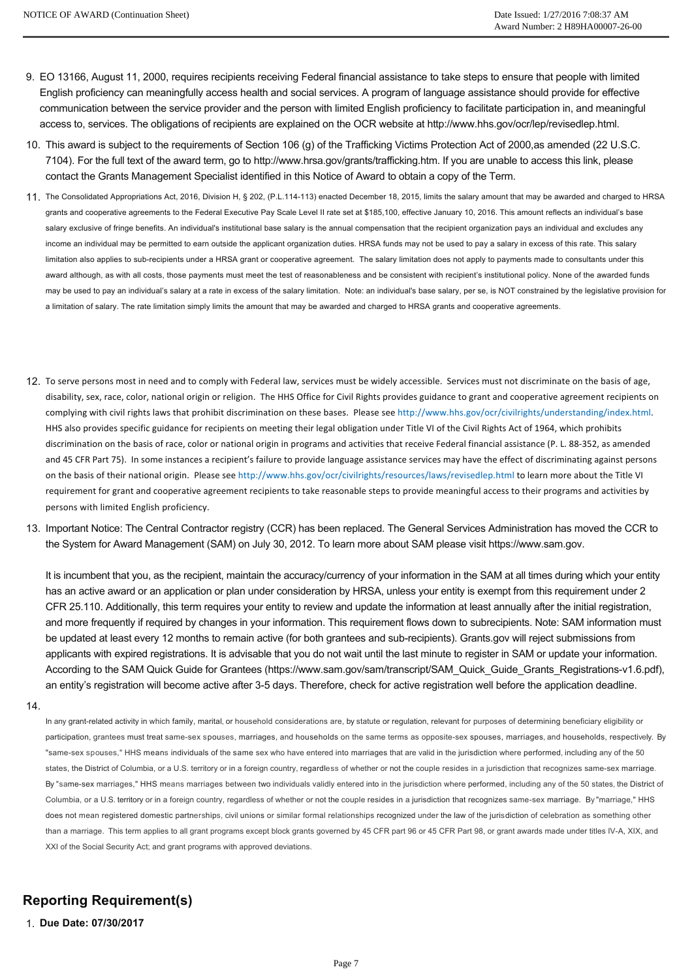- 9. EO 13166, August 11, 2000, requires recipients receiving Federal financial assistance to take steps to ensure that people with limited English proficiency can meaningfully access health and social services. A program of language assistance should provide for effective communication between the service provider and the person with limited English proficiency to facilitate participation in, and meaningful access to, services. The obligations of recipients are explained on the OCR website at http://www.hhs.gov/ocr/lep/revisedlep.html.
- 10. This award is subject to the requirements of Section 106 (g) of the Trafficking Victims Protection Act of 2000,as amended (22 U.S.C. 7104). For the full text of the award term, go to http://www.hrsa.gov/grants/trafficking.htm. If you are unable to access this link, please contact the Grants Management Specialist identified in this Notice of Award to obtain a copy of the Term.
- 11. The Consolidated Appropriations Act, 2016, Division H, § 202, (P.L.114113) enacted December 18, 2015, limits the salary amount that may be awarded and charged to HRSA grants and cooperative agreements to the Federal Executive Pay Scale Level II rate set at \$185,100, effective January 10, 2016. This amount reflects an individual's base salary exclusive of fringe benefits. An individual's institutional base salary is the annual compensation that the recipient organization pays an individual and excludes any income an individual may be permitted to earn outside the applicant organization duties. HRSA funds may not be used to pay a salary in excess of this rate. This salary limitation also applies to sub-recipients under a HRSA grant or cooperative agreement. The salary limitation does not apply to payments made to consultants under this award although, as with all costs, those payments must meet the test of reasonableness and be consistent with recipient's institutional policy. None of the awarded funds may be used to pay an individual's salary at a rate in excess of the salary limitation. Note: an individual's base salary, per se, is NOT constrained by the legislative provision for a limitation of salary. The rate limitation simply limits the amount that may be awarded and charged to HRSA grants and cooperative agreements.
- 12. To serve persons most in need and to comply with Federal law, services must be widely accessible. Services must not discriminate on the basis of age, disability, sex, race, color, national origin or religion. The HHS Office for Civil Rights provides guidance to grant and cooperative agreement recipients on complying with civil rights laws that prohibit discrimination on these bases. Please see http://www.hhs.gov/ocr/civilrights/understanding/index.html. HHS also provides specific guidance for recipients on meeting their legal obligation under Title VI of the Civil Rights Act of 1964, which prohibits discrimination on the basis of race, color or national origin in programs and activities that receive Federal financial assistance (P. L. 88‐352, as amended and 45 CFR Part 75). In some instances a recipient's failure to provide language assistance services may have the effect of discriminating against persons on the basis of their national origin. Please see http://www.hhs.gov/ocr/civilrights/resources/laws/revisedlep.html to learn more about the Title VI requirement for grant and cooperative agreement recipients to take reasonable steps to provide meaningful access to their programs and activities by persons with limited English proficiency.
- 13. Important Notice: The Central Contractor registry (CCR) has been replaced. The General Services Administration has moved the CCR to the System for Award Management (SAM) on July 30, 2012. To learn more about SAM please visit https://www.sam.gov.

It is incumbent that you, as the recipient, maintain the accuracy/currency of your information in the SAM at all times during which your entity has an active award or an application or plan under consideration by HRSA, unless your entity is exempt from this requirement under 2 CFR 25.110. Additionally, this term requires your entity to review and update the information at least annually after the initial registration, and more frequently if required by changes in your information. This requirement flows down to subrecipients. Note: SAM information must be updated at least every 12 months to remain active (for both grantees and subrecipients). Grants.gov will reject submissions from applicants with expired registrations. It is advisable that you do not wait until the last minute to register in SAM or update your information. According to the SAM Quick Guide for Grantees (https://www.sam.gov/sam/transcript/SAM\_Quick\_Guide\_Grants\_Registrations-v1.6.pdf), an entity's registration will become active after 35 days. Therefore, check for active registration well before the application deadline.

14.

In any grant-related activity in which family, marital, or household considerations are, by statute or regulation, relevant for purposes of determining beneficiary eligibility or participation, grantees must treat same-sex spouses, marriages, and households on the same terms as opposite-sex spouses, marriages, and households, respectively. By "samesex spouses," HHS means individuals of the same sex who have entered into marriages that are valid in the jurisdiction where performed, including any of the 50 states, the District of Columbia, or a U.S. territory or in a foreign country, regardless of whether or not the couple resides in a jurisdiction that recognizes same-sex marriage. By "same-sex marriages," HHS means marriages between two individuals validly entered into in the jurisdiction where performed, including any of the 50 states, the District of Columbia, or a U.S. territory or in a foreign country, regardless of whether or not the couple resides in a jurisdiction that recognizes same-sex marriage. By "marriage," HHS does not mean registered domestic partnerships, civil unions or similar formal relationships recognized under the law of the jurisdiction of celebration as something other than a marriage. This term applies to all grant programs except block grants governed by 45 CFR part 96 or 45 CFR Part 98, or grant awards made under titles IVA, XIX, and XXI of the Social Security Act: and grant programs with approved deviations.

# **Reporting Requirement(s)**

#### 1. **Due Date: 07/30/2017**